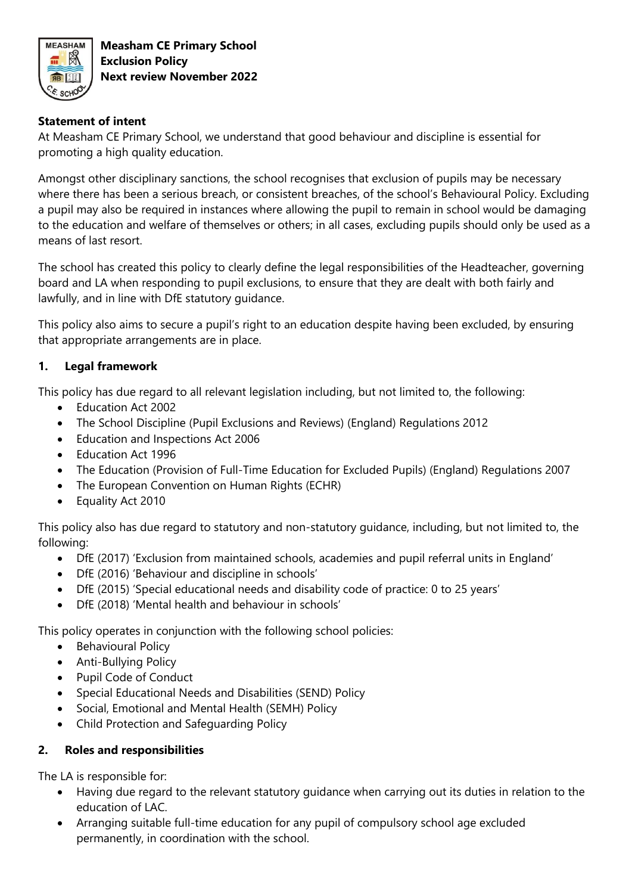

**Measham CE Primary School Exclusion Policy Next review November 2022**

### **Statement of intent**

At Measham CE Primary School, we understand that good behaviour and discipline is essential for promoting a high quality education.

Amongst other disciplinary sanctions, the school recognises that exclusion of pupils may be necessary where there has been a serious breach, or consistent breaches, of the school's Behavioural Policy. Excluding a pupil may also be required in instances where allowing the pupil to remain in school would be damaging to the education and welfare of themselves or others; in all cases, excluding pupils should only be used as a means of last resort.

The school has created this policy to clearly define the legal responsibilities of the Headteacher, governing board and LA when responding to pupil exclusions, to ensure that they are dealt with both fairly and lawfully, and in line with DfE statutory guidance.

This policy also aims to secure a pupil's right to an education despite having been excluded, by ensuring that appropriate arrangements are in place.

### **1. Legal framework**

This policy has due regard to all relevant legislation including, but not limited to, the following:

- Education Act 2002
- The School Discipline (Pupil Exclusions and Reviews) (England) Regulations 2012
- Education and Inspections Act 2006
- Education Act 1996
- The Education (Provision of Full-Time Education for Excluded Pupils) (England) Regulations 2007
- The European Convention on Human Rights (ECHR)
- Equality Act 2010

This policy also has due regard to statutory and non-statutory guidance, including, but not limited to, the following:

- DfE (2017) 'Exclusion from maintained schools, academies and pupil referral units in England'
- DfE (2016) 'Behaviour and discipline in schools'
- DfE (2015) 'Special educational needs and disability code of practice: 0 to 25 years'
- DfE (2018) 'Mental health and behaviour in schools'

This policy operates in conjunction with the following school policies:

- Behavioural Policy
- Anti-Bullying Policy
- Pupil Code of Conduct
- Special Educational Needs and Disabilities (SEND) Policy
- Social, Emotional and Mental Health (SEMH) Policy
- Child Protection and Safeguarding Policy

### **2. Roles and responsibilities**

The LA is responsible for:

- Having due regard to the relevant statutory guidance when carrying out its duties in relation to the education of LAC.
- Arranging suitable full-time education for any pupil of compulsory school age excluded permanently, in coordination with the school.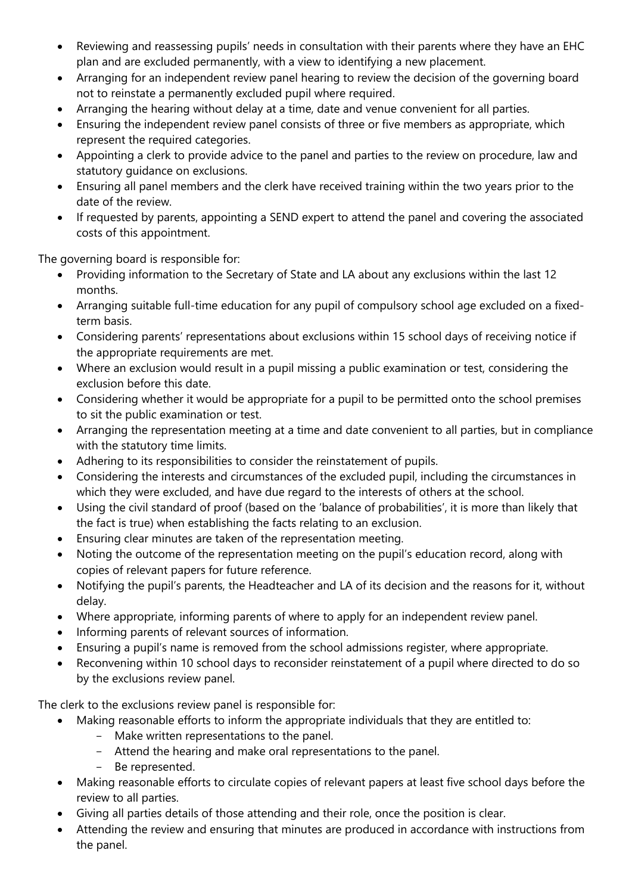- Reviewing and reassessing pupils' needs in consultation with their parents where they have an EHC plan and are excluded permanently, with a view to identifying a new placement.
- Arranging for an independent review panel hearing to review the decision of the governing board not to reinstate a permanently excluded pupil where required.
- Arranging the hearing without delay at a time, date and venue convenient for all parties.
- Ensuring the independent review panel consists of three or five members as appropriate, which represent the required categories.
- Appointing a clerk to provide advice to the panel and parties to the review on procedure, law and statutory guidance on exclusions.
- Ensuring all panel members and the clerk have received training within the two years prior to the date of the review.
- If requested by parents, appointing a SEND expert to attend the panel and covering the associated costs of this appointment.

The governing board is responsible for:

- Providing information to the Secretary of State and LA about any exclusions within the last 12 months.
- Arranging suitable full-time education for any pupil of compulsory school age excluded on a fixedterm basis.
- Considering parents' representations about exclusions within 15 school days of receiving notice if the appropriate requirements are met.
- Where an exclusion would result in a pupil missing a public examination or test, considering the exclusion before this date.
- Considering whether it would be appropriate for a pupil to be permitted onto the school premises to sit the public examination or test.
- Arranging the representation meeting at a time and date convenient to all parties, but in compliance with the statutory time limits.
- Adhering to its responsibilities to consider the reinstatement of pupils.
- Considering the interests and circumstances of the excluded pupil, including the circumstances in which they were excluded, and have due regard to the interests of others at the school.
- Using the civil standard of proof (based on the 'balance of probabilities', it is more than likely that the fact is true) when establishing the facts relating to an exclusion.
- Ensuring clear minutes are taken of the representation meeting.
- Noting the outcome of the representation meeting on the pupil's education record, along with copies of relevant papers for future reference.
- Notifying the pupil's parents, the Headteacher and LA of its decision and the reasons for it, without delay.
- Where appropriate, informing parents of where to apply for an independent review panel.
- Informing parents of relevant sources of information.
- Ensuring a pupil's name is removed from the school admissions register, where appropriate.
- Reconvening within 10 school days to reconsider reinstatement of a pupil where directed to do so by the exclusions review panel.

The clerk to the exclusions review panel is responsible for:

- Making reasonable efforts to inform the appropriate individuals that they are entitled to:
	- Make written representations to the panel.
	- Attend the hearing and make oral representations to the panel.
	- Be represented.
- Making reasonable efforts to circulate copies of relevant papers at least five school days before the review to all parties.
- Giving all parties details of those attending and their role, once the position is clear.
- Attending the review and ensuring that minutes are produced in accordance with instructions from the panel.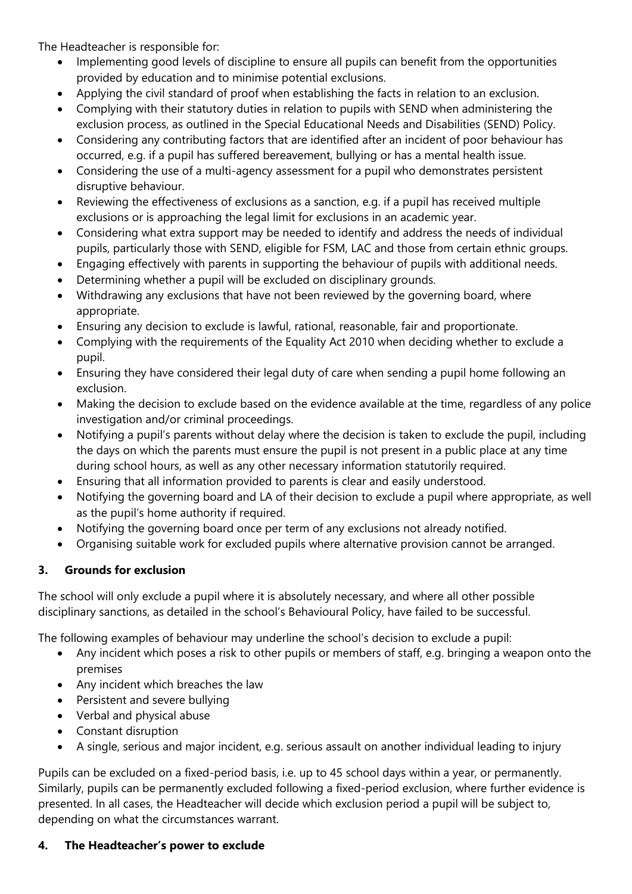The Headteacher is responsible for:

- Implementing good levels of discipline to ensure all pupils can benefit from the opportunities provided by education and to minimise potential exclusions.
- Applying the civil standard of proof when establishing the facts in relation to an exclusion.
- Complying with their statutory duties in relation to pupils with SEND when administering the exclusion process, as outlined in the Special Educational Needs and Disabilities (SEND) Policy.
- Considering any contributing factors that are identified after an incident of poor behaviour has occurred, e.g. if a pupil has suffered bereavement, bullying or has a mental health issue.
- Considering the use of a multi-agency assessment for a pupil who demonstrates persistent disruptive behaviour.
- Reviewing the effectiveness of exclusions as a sanction, e.g. if a pupil has received multiple exclusions or is approaching the legal limit for exclusions in an academic year.
- Considering what extra support may be needed to identify and address the needs of individual pupils, particularly those with SEND, eligible for FSM, LAC and those from certain ethnic groups.
- Engaging effectively with parents in supporting the behaviour of pupils with additional needs.
- Determining whether a pupil will be excluded on disciplinary grounds.
- Withdrawing any exclusions that have not been reviewed by the governing board, where appropriate.
- Ensuring any decision to exclude is lawful, rational, reasonable, fair and proportionate.
- Complying with the requirements of the Equality Act 2010 when deciding whether to exclude a pupil.
- Ensuring they have considered their legal duty of care when sending a pupil home following an exclusion.
- Making the decision to exclude based on the evidence available at the time, regardless of any police investigation and/or criminal proceedings.
- Notifying a pupil's parents without delay where the decision is taken to exclude the pupil, including the days on which the parents must ensure the pupil is not present in a public place at any time during school hours, as well as any other necessary information statutorily required.
- Ensuring that all information provided to parents is clear and easily understood.
- Notifying the governing board and LA of their decision to exclude a pupil where appropriate, as well as the pupil's home authority if required.
- Notifying the governing board once per term of any exclusions not already notified.
- Organising suitable work for excluded pupils where alternative provision cannot be arranged.

# **3. Grounds for exclusion**

The school will only exclude a pupil where it is absolutely necessary, and where all other possible disciplinary sanctions, as detailed in the school's Behavioural Policy, have failed to be successful.

The following examples of behaviour may underline the school's decision to exclude a pupil:

- Any incident which poses a risk to other pupils or members of staff, e.g. bringing a weapon onto the premises
- Any incident which breaches the law
- Persistent and severe bullying
- Verbal and physical abuse
- Constant disruption
- A single, serious and major incident, e.g. serious assault on another individual leading to injury

Pupils can be excluded on a fixed-period basis, i.e. up to 45 school days within a year, or permanently. Similarly, pupils can be permanently excluded following a fixed-period exclusion, where further evidence is presented. In all cases, the Headteacher will decide which exclusion period a pupil will be subject to, depending on what the circumstances warrant.

# **4. The Headteacher's power to exclude**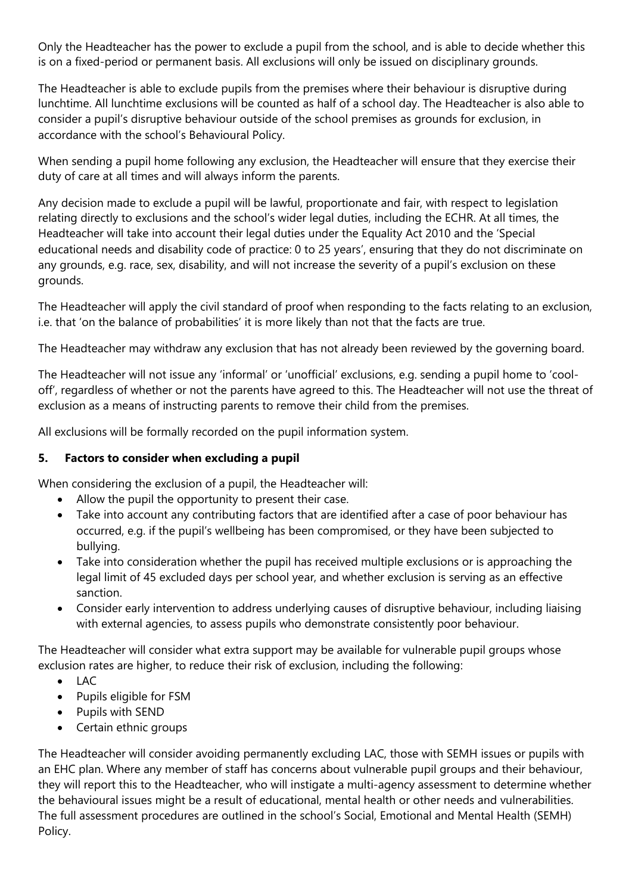Only the Headteacher has the power to exclude a pupil from the school, and is able to decide whether this is on a fixed-period or permanent basis. All exclusions will only be issued on disciplinary grounds.

The Headteacher is able to exclude pupils from the premises where their behaviour is disruptive during lunchtime. All lunchtime exclusions will be counted as half of a school day. The Headteacher is also able to consider a pupil's disruptive behaviour outside of the school premises as grounds for exclusion, in accordance with the school's Behavioural Policy.

When sending a pupil home following any exclusion, the Headteacher will ensure that they exercise their duty of care at all times and will always inform the parents.

Any decision made to exclude a pupil will be lawful, proportionate and fair, with respect to legislation relating directly to exclusions and the school's wider legal duties, including the ECHR. At all times, the Headteacher will take into account their legal duties under the Equality Act 2010 and the 'Special educational needs and disability code of practice: 0 to 25 years', ensuring that they do not discriminate on any grounds, e.g. race, sex, disability, and will not increase the severity of a pupil's exclusion on these grounds.

The Headteacher will apply the civil standard of proof when responding to the facts relating to an exclusion, i.e. that 'on the balance of probabilities' it is more likely than not that the facts are true.

The Headteacher may withdraw any exclusion that has not already been reviewed by the governing board.

The Headteacher will not issue any 'informal' or 'unofficial' exclusions, e.g. sending a pupil home to 'cooloff', regardless of whether or not the parents have agreed to this. The Headteacher will not use the threat of exclusion as a means of instructing parents to remove their child from the premises.

All exclusions will be formally recorded on the pupil information system.

## **5. Factors to consider when excluding a pupil**

When considering the exclusion of a pupil, the Headteacher will:

- Allow the pupil the opportunity to present their case.
- Take into account any contributing factors that are identified after a case of poor behaviour has occurred, e.g. if the pupil's wellbeing has been compromised, or they have been subjected to bullying.
- Take into consideration whether the pupil has received multiple exclusions or is approaching the legal limit of 45 excluded days per school year, and whether exclusion is serving as an effective sanction.
- Consider early intervention to address underlying causes of disruptive behaviour, including liaising with external agencies, to assess pupils who demonstrate consistently poor behaviour.

The Headteacher will consider what extra support may be available for vulnerable pupil groups whose exclusion rates are higher, to reduce their risk of exclusion, including the following:

- LAC
- Pupils eligible for FSM
- Pupils with SEND
- Certain ethnic groups

The Headteacher will consider avoiding permanently excluding LAC, those with SEMH issues or pupils with an EHC plan. Where any member of staff has concerns about vulnerable pupil groups and their behaviour, they will report this to the Headteacher, who will instigate a multi-agency assessment to determine whether the behavioural issues might be a result of educational, mental health or other needs and vulnerabilities. The full assessment procedures are outlined in the school's Social, Emotional and Mental Health (SEMH) Policy.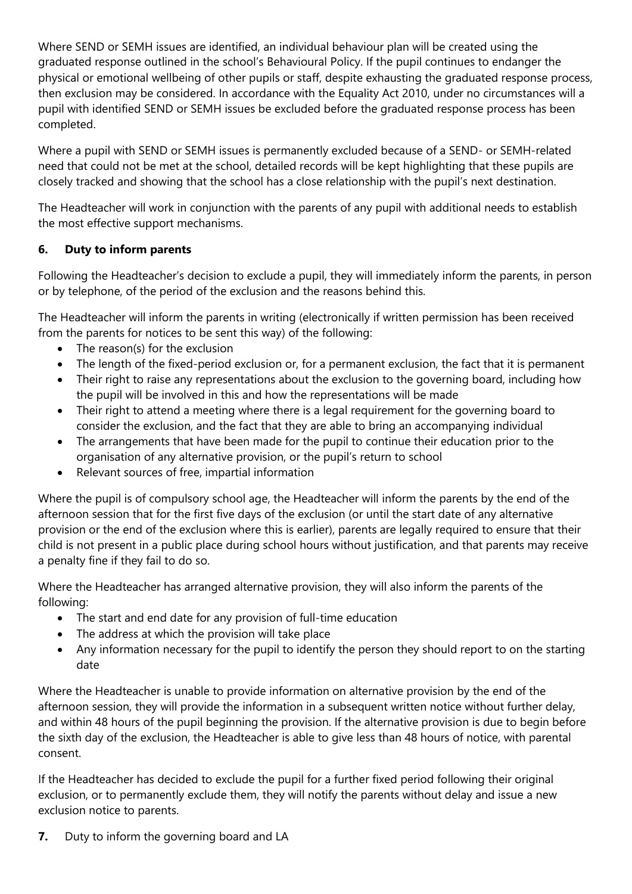Where SEND or SEMH issues are identified, an individual behaviour plan will be created using the graduated response outlined in the school's Behavioural Policy. If the pupil continues to endanger the physical or emotional wellbeing of other pupils or staff, despite exhausting the graduated response process, then exclusion may be considered. In accordance with the Equality Act 2010, under no circumstances will a pupil with identified SEND or SEMH issues be excluded before the graduated response process has been completed.

Where a pupil with SEND or SEMH issues is permanently excluded because of a SEND- or SEMH-related need that could not be met at the school, detailed records will be kept highlighting that these pupils are closely tracked and showing that the school has a close relationship with the pupil's next destination.

The Headteacher will work in conjunction with the parents of any pupil with additional needs to establish the most effective support mechanisms.

# **6. Duty to inform parents**

Following the Headteacher's decision to exclude a pupil, they will immediately inform the parents, in person or by telephone, of the period of the exclusion and the reasons behind this.

The Headteacher will inform the parents in writing (electronically if written permission has been received from the parents for notices to be sent this way) of the following:

- The reason(s) for the exclusion
- The length of the fixed-period exclusion or, for a permanent exclusion, the fact that it is permanent
- Their right to raise any representations about the exclusion to the governing board, including how the pupil will be involved in this and how the representations will be made
- Their right to attend a meeting where there is a legal requirement for the governing board to consider the exclusion, and the fact that they are able to bring an accompanying individual
- The arrangements that have been made for the pupil to continue their education prior to the organisation of any alternative provision, or the pupil's return to school
- Relevant sources of free, impartial information

Where the pupil is of compulsory school age, the Headteacher will inform the parents by the end of the afternoon session that for the first five days of the exclusion (or until the start date of any alternative provision or the end of the exclusion where this is earlier), parents are legally required to ensure that their child is not present in a public place during school hours without justification, and that parents may receive a penalty fine if they fail to do so.

Where the Headteacher has arranged alternative provision, they will also inform the parents of the following:

- The start and end date for any provision of full-time education
- The address at which the provision will take place
- Any information necessary for the pupil to identify the person they should report to on the starting date

Where the Headteacher is unable to provide information on alternative provision by the end of the afternoon session, they will provide the information in a subsequent written notice without further delay, and within 48 hours of the pupil beginning the provision. If the alternative provision is due to begin before the sixth day of the exclusion, the Headteacher is able to give less than 48 hours of notice, with parental consent.

If the Headteacher has decided to exclude the pupil for a further fixed period following their original exclusion, or to permanently exclude them, they will notify the parents without delay and issue a new exclusion notice to parents.

**7.** Duty to inform the governing board and LA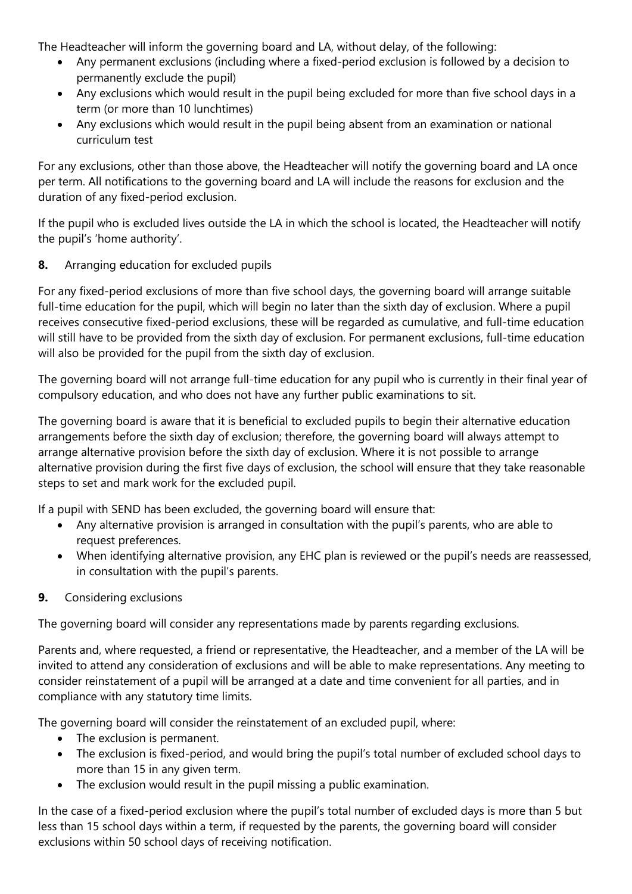The Headteacher will inform the governing board and LA, without delay, of the following:

- Any permanent exclusions (including where a fixed-period exclusion is followed by a decision to permanently exclude the pupil)
- Any exclusions which would result in the pupil being excluded for more than five school days in a term (or more than 10 lunchtimes)
- Any exclusions which would result in the pupil being absent from an examination or national curriculum test

For any exclusions, other than those above, the Headteacher will notify the governing board and LA once per term. All notifications to the governing board and LA will include the reasons for exclusion and the duration of any fixed-period exclusion.

If the pupil who is excluded lives outside the LA in which the school is located, the Headteacher will notify the pupil's 'home authority'.

**8.** Arranging education for excluded pupils

For any fixed-period exclusions of more than five school days, the governing board will arrange suitable full-time education for the pupil, which will begin no later than the sixth day of exclusion. Where a pupil receives consecutive fixed-period exclusions, these will be regarded as cumulative, and full-time education will still have to be provided from the sixth day of exclusion. For permanent exclusions, full-time education will also be provided for the pupil from the sixth day of exclusion.

The governing board will not arrange full-time education for any pupil who is currently in their final year of compulsory education, and who does not have any further public examinations to sit.

The governing board is aware that it is beneficial to excluded pupils to begin their alternative education arrangements before the sixth day of exclusion; therefore, the governing board will always attempt to arrange alternative provision before the sixth day of exclusion. Where it is not possible to arrange alternative provision during the first five days of exclusion, the school will ensure that they take reasonable steps to set and mark work for the excluded pupil.

If a pupil with SEND has been excluded, the governing board will ensure that:

- Any alternative provision is arranged in consultation with the pupil's parents, who are able to request preferences.
- When identifying alternative provision, any EHC plan is reviewed or the pupil's needs are reassessed, in consultation with the pupil's parents.

## **9.** Considering exclusions

The governing board will consider any representations made by parents regarding exclusions.

Parents and, where requested, a friend or representative, the Headteacher, and a member of the LA will be invited to attend any consideration of exclusions and will be able to make representations. Any meeting to consider reinstatement of a pupil will be arranged at a date and time convenient for all parties, and in compliance with any statutory time limits.

The governing board will consider the reinstatement of an excluded pupil, where:

- The exclusion is permanent.
- The exclusion is fixed-period, and would bring the pupil's total number of excluded school days to more than 15 in any given term.
- The exclusion would result in the pupil missing a public examination.

In the case of a fixed-period exclusion where the pupil's total number of excluded days is more than 5 but less than 15 school days within a term, if requested by the parents, the governing board will consider exclusions within 50 school days of receiving notification.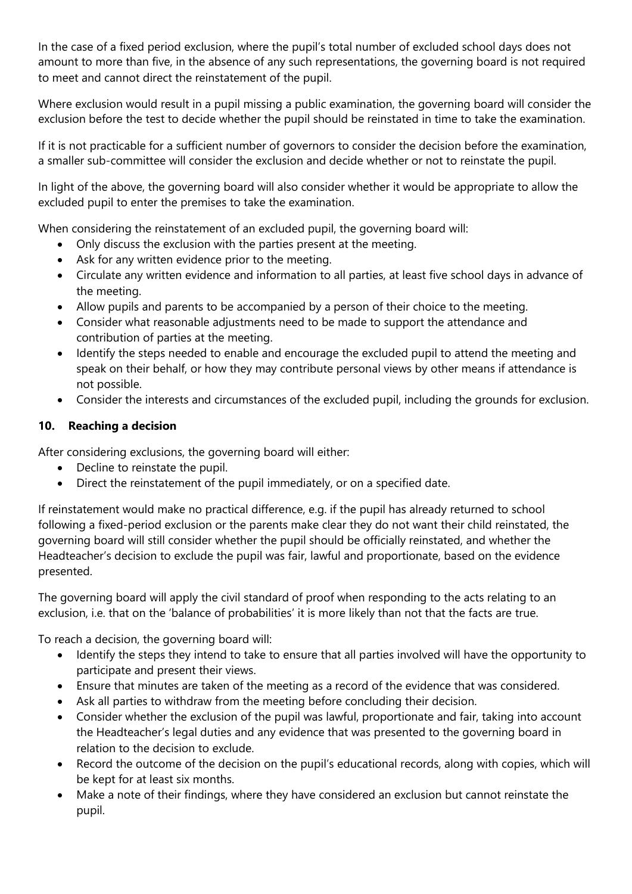In the case of a fixed period exclusion, where the pupil's total number of excluded school days does not amount to more than five, in the absence of any such representations, the governing board is not required to meet and cannot direct the reinstatement of the pupil.

Where exclusion would result in a pupil missing a public examination, the governing board will consider the exclusion before the test to decide whether the pupil should be reinstated in time to take the examination.

If it is not practicable for a sufficient number of governors to consider the decision before the examination, a smaller sub-committee will consider the exclusion and decide whether or not to reinstate the pupil.

In light of the above, the governing board will also consider whether it would be appropriate to allow the excluded pupil to enter the premises to take the examination.

When considering the reinstatement of an excluded pupil, the governing board will:

- Only discuss the exclusion with the parties present at the meeting.
- Ask for any written evidence prior to the meeting.
- Circulate any written evidence and information to all parties, at least five school days in advance of the meeting.
- Allow pupils and parents to be accompanied by a person of their choice to the meeting.
- Consider what reasonable adjustments need to be made to support the attendance and contribution of parties at the meeting.
- Identify the steps needed to enable and encourage the excluded pupil to attend the meeting and speak on their behalf, or how they may contribute personal views by other means if attendance is not possible.
- Consider the interests and circumstances of the excluded pupil, including the grounds for exclusion.

### **10. Reaching a decision**

After considering exclusions, the governing board will either:

- Decline to reinstate the pupil.
- Direct the reinstatement of the pupil immediately, or on a specified date.

If reinstatement would make no practical difference, e.g. if the pupil has already returned to school following a fixed-period exclusion or the parents make clear they do not want their child reinstated, the governing board will still consider whether the pupil should be officially reinstated, and whether the Headteacher's decision to exclude the pupil was fair, lawful and proportionate, based on the evidence presented.

The governing board will apply the civil standard of proof when responding to the acts relating to an exclusion, i.e. that on the 'balance of probabilities' it is more likely than not that the facts are true.

To reach a decision, the governing board will:

- Identify the steps they intend to take to ensure that all parties involved will have the opportunity to participate and present their views.
- Ensure that minutes are taken of the meeting as a record of the evidence that was considered.
- Ask all parties to withdraw from the meeting before concluding their decision.
- Consider whether the exclusion of the pupil was lawful, proportionate and fair, taking into account the Headteacher's legal duties and any evidence that was presented to the governing board in relation to the decision to exclude.
- Record the outcome of the decision on the pupil's educational records, along with copies, which will be kept for at least six months.
- Make a note of their findings, where they have considered an exclusion but cannot reinstate the pupil.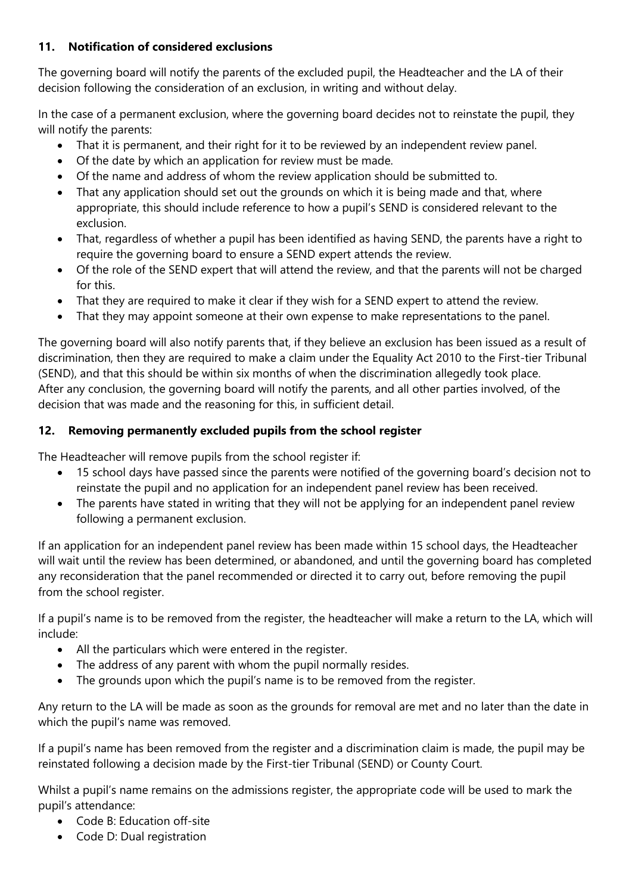### **11. Notification of considered exclusions**

The governing board will notify the parents of the excluded pupil, the Headteacher and the LA of their decision following the consideration of an exclusion, in writing and without delay.

In the case of a permanent exclusion, where the governing board decides not to reinstate the pupil, they will notify the parents:

- That it is permanent, and their right for it to be reviewed by an independent review panel.
- Of the date by which an application for review must be made.
- Of the name and address of whom the review application should be submitted to.
- That any application should set out the grounds on which it is being made and that, where appropriate, this should include reference to how a pupil's SEND is considered relevant to the exclusion.
- That, regardless of whether a pupil has been identified as having SEND, the parents have a right to require the governing board to ensure a SEND expert attends the review.
- Of the role of the SEND expert that will attend the review, and that the parents will not be charged for this.
- That they are required to make it clear if they wish for a SEND expert to attend the review.
- That they may appoint someone at their own expense to make representations to the panel.

The governing board will also notify parents that, if they believe an exclusion has been issued as a result of discrimination, then they are required to make a claim under the Equality Act 2010 to the First-tier Tribunal (SEND), and that this should be within six months of when the discrimination allegedly took place. After any conclusion, the governing board will notify the parents, and all other parties involved, of the decision that was made and the reasoning for this, in sufficient detail.

# **12. Removing permanently excluded pupils from the school register**

The Headteacher will remove pupils from the school register if:

- 15 school days have passed since the parents were notified of the governing board's decision not to reinstate the pupil and no application for an independent panel review has been received.
- The parents have stated in writing that they will not be applying for an independent panel review following a permanent exclusion.

If an application for an independent panel review has been made within 15 school days, the Headteacher will wait until the review has been determined, or abandoned, and until the governing board has completed any reconsideration that the panel recommended or directed it to carry out, before removing the pupil from the school register.

If a pupil's name is to be removed from the register, the headteacher will make a return to the LA, which will include:

- All the particulars which were entered in the register.
- The address of any parent with whom the pupil normally resides.
- The grounds upon which the pupil's name is to be removed from the register.

Any return to the LA will be made as soon as the grounds for removal are met and no later than the date in which the pupil's name was removed.

If a pupil's name has been removed from the register and a discrimination claim is made, the pupil may be reinstated following a decision made by the First-tier Tribunal (SEND) or County Court.

Whilst a pupil's name remains on the admissions register, the appropriate code will be used to mark the pupil's attendance:

- Code B: Education off-site
- Code D: Dual registration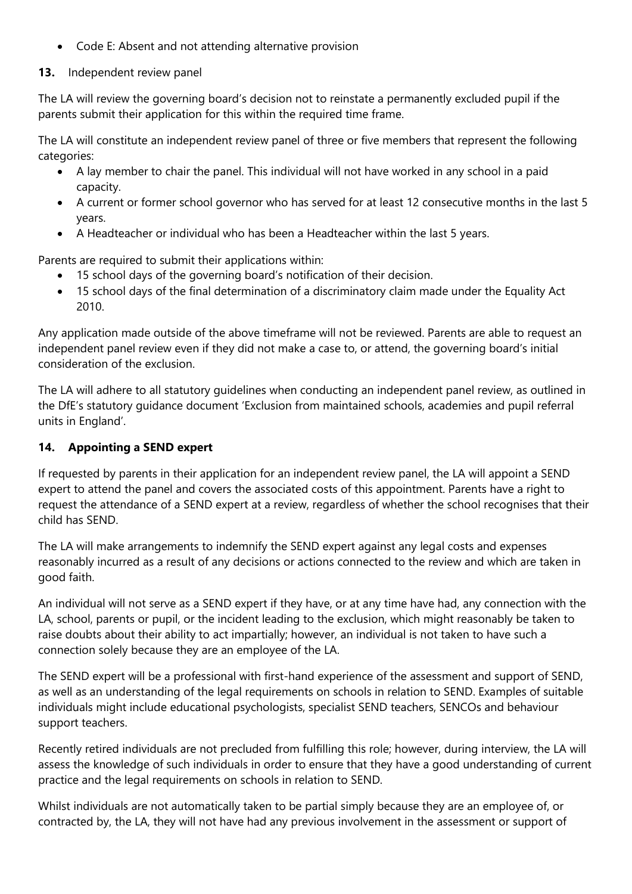Code E: Absent and not attending alternative provision

# **13.** Independent review panel

The LA will review the governing board's decision not to reinstate a permanently excluded pupil if the parents submit their application for this within the required time frame.

The LA will constitute an independent review panel of three or five members that represent the following categories:

- A lay member to chair the panel. This individual will not have worked in any school in a paid capacity.
- A current or former school governor who has served for at least 12 consecutive months in the last 5 years.
- A Headteacher or individual who has been a Headteacher within the last 5 years.

Parents are required to submit their applications within:

- 15 school days of the governing board's notification of their decision.
- 15 school days of the final determination of a discriminatory claim made under the Equality Act 2010.

Any application made outside of the above timeframe will not be reviewed. Parents are able to request an independent panel review even if they did not make a case to, or attend, the governing board's initial consideration of the exclusion.

The LA will adhere to all statutory guidelines when conducting an independent panel review, as outlined in the DfE's statutory guidance document 'Exclusion from maintained schools, academies and pupil referral units in England'.

# **14. Appointing a SEND expert**

If requested by parents in their application for an independent review panel, the LA will appoint a SEND expert to attend the panel and covers the associated costs of this appointment. Parents have a right to request the attendance of a SEND expert at a review, regardless of whether the school recognises that their child has SEND.

The LA will make arrangements to indemnify the SEND expert against any legal costs and expenses reasonably incurred as a result of any decisions or actions connected to the review and which are taken in good faith.

An individual will not serve as a SEND expert if they have, or at any time have had, any connection with the LA, school, parents or pupil, or the incident leading to the exclusion, which might reasonably be taken to raise doubts about their ability to act impartially; however, an individual is not taken to have such a connection solely because they are an employee of the LA.

The SEND expert will be a professional with first-hand experience of the assessment and support of SEND, as well as an understanding of the legal requirements on schools in relation to SEND. Examples of suitable individuals might include educational psychologists, specialist SEND teachers, SENCOs and behaviour support teachers.

Recently retired individuals are not precluded from fulfilling this role; however, during interview, the LA will assess the knowledge of such individuals in order to ensure that they have a good understanding of current practice and the legal requirements on schools in relation to SEND.

Whilst individuals are not automatically taken to be partial simply because they are an employee of, or contracted by, the LA, they will not have had any previous involvement in the assessment or support of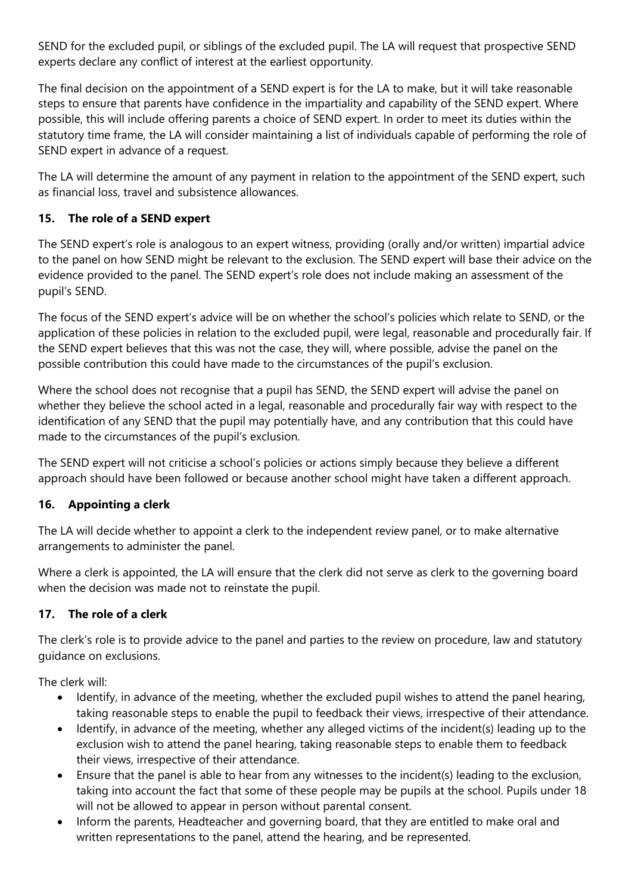SEND for the excluded pupil, or siblings of the excluded pupil. The LA will request that prospective SEND experts declare any conflict of interest at the earliest opportunity.

The final decision on the appointment of a SEND expert is for the LA to make, but it will take reasonable steps to ensure that parents have confidence in the impartiality and capability of the SEND expert. Where possible, this will include offering parents a choice of SEND expert. In order to meet its duties within the statutory time frame, the LA will consider maintaining a list of individuals capable of performing the role of SEND expert in advance of a request.

The LA will determine the amount of any payment in relation to the appointment of the SEND expert, such as financial loss, travel and subsistence allowances.

# **15. The role of a SEND expert**

The SEND expert's role is analogous to an expert witness, providing (orally and/or written) impartial advice to the panel on how SEND might be relevant to the exclusion. The SEND expert will base their advice on the evidence provided to the panel. The SEND expert's role does not include making an assessment of the pupil's SEND.

The focus of the SEND expert's advice will be on whether the school's policies which relate to SEND, or the application of these policies in relation to the excluded pupil, were legal, reasonable and procedurally fair. If the SEND expert believes that this was not the case, they will, where possible, advise the panel on the possible contribution this could have made to the circumstances of the pupil's exclusion.

Where the school does not recognise that a pupil has SEND, the SEND expert will advise the panel on whether they believe the school acted in a legal, reasonable and procedurally fair way with respect to the identification of any SEND that the pupil may potentially have, and any contribution that this could have made to the circumstances of the pupil's exclusion.

The SEND expert will not criticise a school's policies or actions simply because they believe a different approach should have been followed or because another school might have taken a different approach.

## **16. Appointing a clerk**

The LA will decide whether to appoint a clerk to the independent review panel, or to make alternative arrangements to administer the panel.

Where a clerk is appointed, the LA will ensure that the clerk did not serve as clerk to the governing board when the decision was made not to reinstate the pupil.

## **17. The role of a clerk**

The clerk's role is to provide advice to the panel and parties to the review on procedure, law and statutory guidance on exclusions.

The clerk will:

- Identify, in advance of the meeting, whether the excluded pupil wishes to attend the panel hearing, taking reasonable steps to enable the pupil to feedback their views, irrespective of their attendance.
- Identify, in advance of the meeting, whether any alleged victims of the incident(s) leading up to the exclusion wish to attend the panel hearing, taking reasonable steps to enable them to feedback their views, irrespective of their attendance.
- Ensure that the panel is able to hear from any witnesses to the incident(s) leading to the exclusion, taking into account the fact that some of these people may be pupils at the school. Pupils under 18 will not be allowed to appear in person without parental consent.
- Inform the parents, Headteacher and governing board, that they are entitled to make oral and written representations to the panel, attend the hearing, and be represented.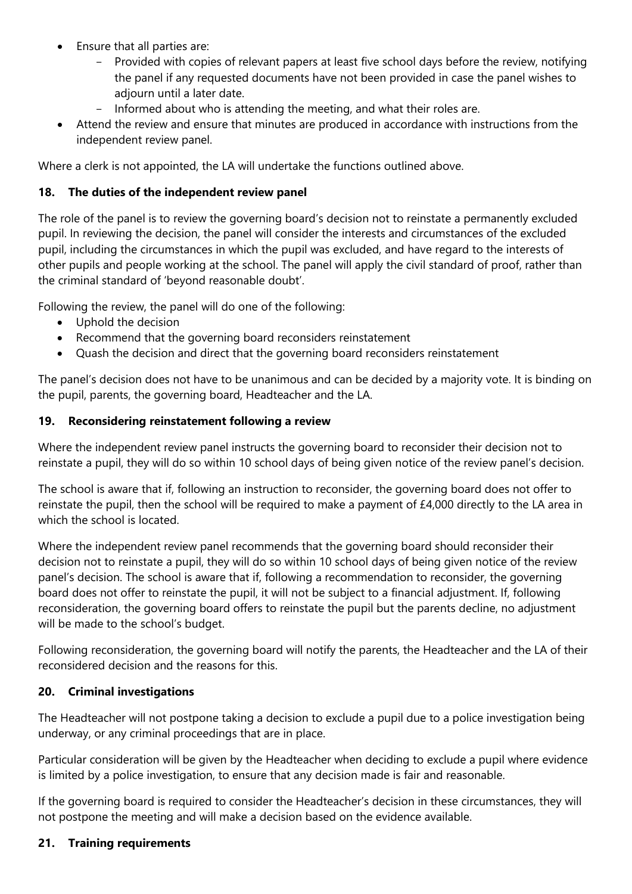- Ensure that all parties are:
	- Provided with copies of relevant papers at least five school days before the review, notifying the panel if any requested documents have not been provided in case the panel wishes to adjourn until a later date.
	- Informed about who is attending the meeting, and what their roles are.
- Attend the review and ensure that minutes are produced in accordance with instructions from the independent review panel.

Where a clerk is not appointed, the LA will undertake the functions outlined above.

### **18. The duties of the independent review panel**

The role of the panel is to review the governing board's decision not to reinstate a permanently excluded pupil. In reviewing the decision, the panel will consider the interests and circumstances of the excluded pupil, including the circumstances in which the pupil was excluded, and have regard to the interests of other pupils and people working at the school. The panel will apply the civil standard of proof, rather than the criminal standard of 'beyond reasonable doubt'.

Following the review, the panel will do one of the following:

- Uphold the decision
- Recommend that the governing board reconsiders reinstatement
- Quash the decision and direct that the governing board reconsiders reinstatement

The panel's decision does not have to be unanimous and can be decided by a majority vote. It is binding on the pupil, parents, the governing board, Headteacher and the LA.

### **19. Reconsidering reinstatement following a review**

Where the independent review panel instructs the governing board to reconsider their decision not to reinstate a pupil, they will do so within 10 school days of being given notice of the review panel's decision.

The school is aware that if, following an instruction to reconsider, the governing board does not offer to reinstate the pupil, then the school will be required to make a payment of £4,000 directly to the LA area in which the school is located.

Where the independent review panel recommends that the governing board should reconsider their decision not to reinstate a pupil, they will do so within 10 school days of being given notice of the review panel's decision. The school is aware that if, following a recommendation to reconsider, the governing board does not offer to reinstate the pupil, it will not be subject to a financial adjustment. If, following reconsideration, the governing board offers to reinstate the pupil but the parents decline, no adjustment will be made to the school's budget.

Following reconsideration, the governing board will notify the parents, the Headteacher and the LA of their reconsidered decision and the reasons for this.

### **20. Criminal investigations**

The Headteacher will not postpone taking a decision to exclude a pupil due to a police investigation being underway, or any criminal proceedings that are in place.

Particular consideration will be given by the Headteacher when deciding to exclude a pupil where evidence is limited by a police investigation, to ensure that any decision made is fair and reasonable.

If the governing board is required to consider the Headteacher's decision in these circumstances, they will not postpone the meeting and will make a decision based on the evidence available.

### **21. Training requirements**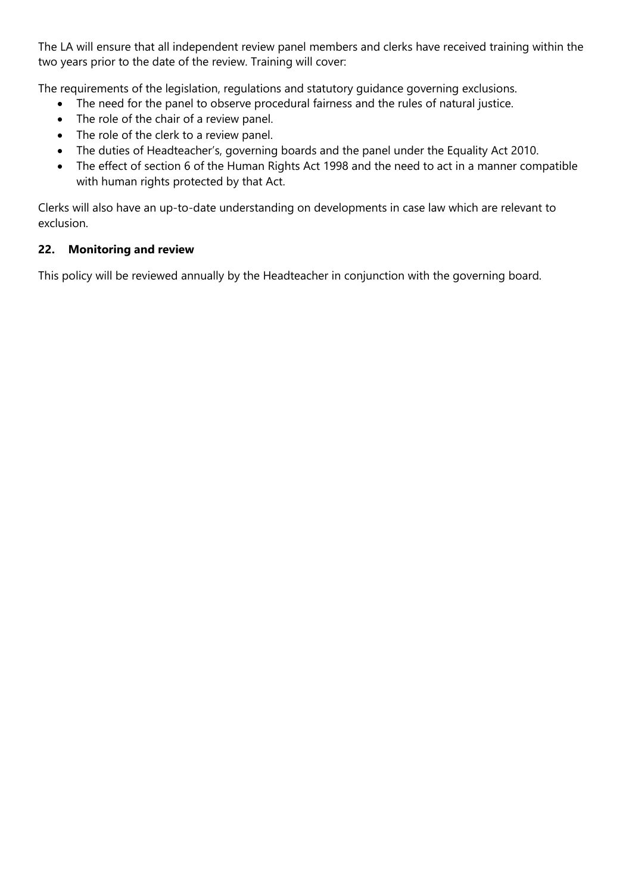The LA will ensure that all independent review panel members and clerks have received training within the two years prior to the date of the review. Training will cover:

The requirements of the legislation, regulations and statutory guidance governing exclusions.

- The need for the panel to observe procedural fairness and the rules of natural justice.
- The role of the chair of a review panel.
- The role of the clerk to a review panel.
- The duties of Headteacher's, governing boards and the panel under the Equality Act 2010.
- The effect of section 6 of the Human Rights Act 1998 and the need to act in a manner compatible with human rights protected by that Act.

Clerks will also have an up-to-date understanding on developments in case law which are relevant to exclusion.

## **22. Monitoring and review**

This policy will be reviewed annually by the Headteacher in conjunction with the governing board.